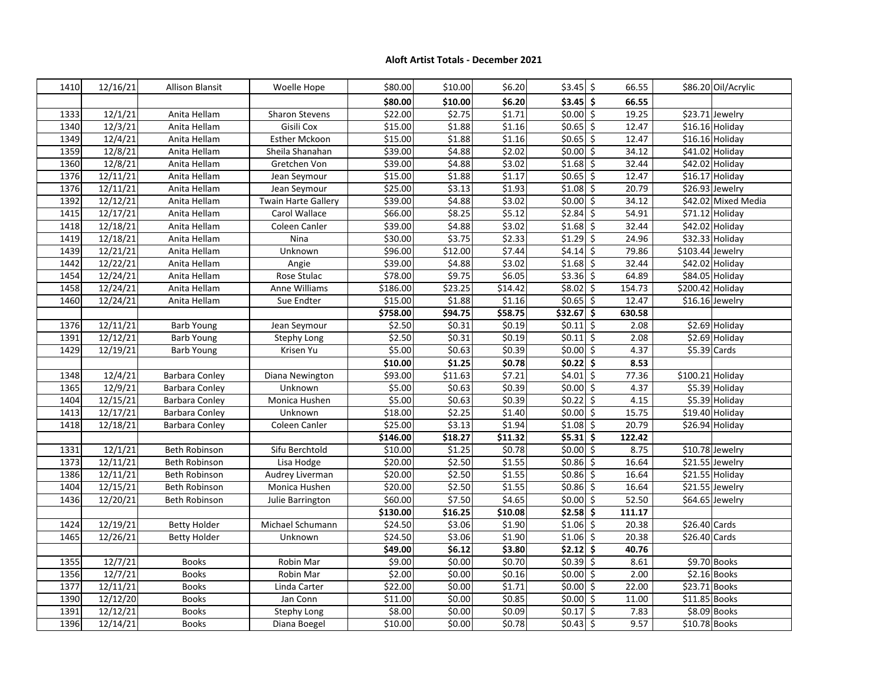## **Aloft Artist Totals - December 2021**

| 1410         | 12/16/21             | <b>Allison Blansit</b>       | Woelle Hope                        | \$80.00           | \$10.00         | \$6.20           | $$3.45$ \$                         | 66.55                             |                | \$86.20 Oil/Acrylic         |
|--------------|----------------------|------------------------------|------------------------------------|-------------------|-----------------|------------------|------------------------------------|-----------------------------------|----------------|-----------------------------|
|              |                      |                              |                                    | \$80.00           | \$10.00         | \$6.20           | $$3.45$ \$                         | 66.55                             |                |                             |
| 1333         | 12/1/21              | Anita Hellam                 | <b>Sharon Stevens</b>              | \$22.00           | \$2.75          | \$1.71           | $50.00$ \$                         | 19.25                             |                | \$23.71 Jewelry             |
| 1340         | 12/3/21              | Anita Hellam                 | Gisili Cox                         | \$15.00           | \$1.88          | \$1.16           | $$0.65$ \$                         | 12.47                             |                | \$16.16 Holiday             |
| 1349         | 12/4/21              | Anita Hellam                 | <b>Esther Mckoon</b>               | \$15.00           | \$1.88          | \$1.16           | $$0.65$ \$                         | 12.47                             |                | \$16.16 Holiday             |
| 1359         | 12/8/21              | Anita Hellam                 | Sheila Shanahan                    | \$39.00           | 54.88           | \$2.02           | $\frac{1}{50.00}$ \$               | 34.12                             |                | \$41.02 Holiday             |
| 1360         | 12/8/21              | Anita Hellam                 | Gretchen Von                       | \$39.00           | \$4.88          | \$3.02           | $$1.68$ \$                         | 32.44                             |                | \$42.02 Holiday             |
| 1376         | 12/11/21             | Anita Hellam                 | Jean Seymour                       | \$15.00           | \$1.88          | \$1.17           | $$0.65$ \$                         | 12.47                             |                | $$16.17$ Holiday            |
| 1376         | 12/11/21             | Anita Hellam                 | Jean Seymour                       | \$25.00           | \$3.13          | \$1.93           | $$1.08$ \$                         | 20.79                             |                | \$26.93 Jewelry             |
| 1392         | 12/12/21             | Anita Hellam                 | Twain Harte Gallery                | \$39.00           | \$4.88          | \$3.02           | \$0.00]                            | $\overline{\xi}$<br>34.12         |                | \$42.02 Mixed Media         |
| 1415         | 12/17/21             | Anita Hellam                 | Carol Wallace                      | \$66.00           | \$8.25          | \$5.12           | \$2.84                             | $\overline{\mathcal{S}}$<br>54.91 |                | $\overline{571.12}$ Holiday |
| 1418         | 12/18/21             | Anita Hellam                 | Coleen Canler                      | \$39.00           | \$4.88          | \$3.02           | $$1.68$ \$                         | 32.44                             |                | \$42.02 Holiday             |
| 1419         | 12/18/21             | Anita Hellam                 | Nina                               | \$30.00           | \$3.75          | \$2.33           | \$1.29                             | $\overline{\varsigma}$<br>24.96   |                | \$32.33 Holiday             |
| 1439         | 12/21/21             | Anita Hellam                 | Unknown                            | \$96.00           | \$12.00         | \$7.44           | $$4.14$ \$                         | 79.86                             |                | \$103.44 Jewelry            |
| 1442         | 12/22/21             | Anita Hellam                 | Angie                              | \$39.00           | \$4.88          | \$3.02           | $$1.68$ \$                         | 32.44                             |                | \$42.02 Holiday             |
| 1454         | 12/24/21             | Anita Hellam                 | Rose Stulac                        | \$78.00           | \$9.75          | \$6.05           | \$3.36                             | $\overline{\varsigma}$<br>64.89   |                | \$84.05 Holiday             |
| 1458         | 12/24/21             | Anita Hellam                 | Anne Williams                      | \$186.00          | \$23.25         | \$14.42          | $$8.02$ \$                         | 154.73                            |                | \$200.42 Holiday            |
| 1460         | 12/24/21             | Anita Hellam                 | Sue Endter                         | \$15.00           | \$1.88          | \$1.16           | $$0.65$ \$                         | 12.47                             |                | \$16.16 Jewelry             |
|              |                      |                              |                                    | \$758.00          | \$94.75         | \$58.75          | $$32.67$ \$                        | 630.58                            |                |                             |
| 1376         | 12/11/21             | <b>Barb Young</b>            | Jean Seymour                       | \$2.50            | \$0.31          | \$0.19           | $$0.11$ $$$                        | 2.08                              |                | \$2.69 Holiday              |
| 1391         | 12/12/21             | <b>Barb Young</b>            | Stephy Long                        | \$2.50            | \$0.31          | \$0.19           | $\vert 50.11 \vert 5$              | 2.08                              |                | \$2.69 Holiday              |
| 1429         | 12/19/21             | <b>Barb Young</b>            | Krisen Yu                          | \$5.00            | \$0.63          | \$0.39           | $$0.00$ \$                         | 4.37                              |                | $$5.39$ Cards               |
|              |                      |                              |                                    | \$10.00           | \$1.25          | \$0.78           | $\frac{1}{50.22}$ \$               | 8.53                              |                |                             |
| 1348         | 12/4/21              | Barbara Conley               | Diana Newington                    | \$93.00           | \$11.63         | \$7.21           | $$4.01$ \$                         | 77.36                             |                | \$100.21 Holiday            |
| 1365         | 12/9/21              | <b>Barbara Conley</b>        | Unknown                            | \$5.00            | \$0.63          | \$0.39           | $$0.00$ \$                         | 4.37                              |                | \$5.39 Holiday              |
| 1404         | 12/15/21             | <b>Barbara Conley</b>        | Monica Hushen                      | \$5.00            | \$0.63          | \$0.39           | $50.22$ \$                         | 4.15                              |                | \$5.39 Holiday              |
| 1413         | 12/17/21             | <b>Barbara Conley</b>        | Unknown                            | \$18.00           | \$2.25          | \$1.40           | $$0.00$ \$                         | 15.75                             |                | \$19.40 Holiday             |
| 1418         | 12/18/21             | <b>Barbara Conley</b>        | Coleen Canler                      | \$25.00           | 53.13           | \$1.94           | $$1.08$ \$                         | 20.79                             |                | \$26.94 Holiday             |
|              |                      |                              |                                    | \$146.00          | \$18.27         | \$11.32          | $55.31$ \$                         | 122.42                            |                |                             |
| 1331         | 12/1/21              | Beth Robinson                | Sifu Berchtold                     | \$10.00           | \$1.25          | \$0.78           | $$0.00$ \$                         | 8.75                              |                | \$10.78 Jewelry             |
| 1373         | 12/11/21             | Beth Robinson                | Lisa Hodge                         | \$20.00           | \$2.50          | \$1.55           | $$0.86$ \$                         | 16.64                             |                | \$21.55 Jewelry             |
| 1386         | 12/11/21             | Beth Robinson                | Audrey Liverman                    | \$20.00           | \$2.50          | \$1.55           | \$0.86                             | $\overline{\xi}$<br>16.64         |                | \$21.55 Holiday             |
| 1404         | 12/15/21             | Beth Robinson                | Monica Hushen                      | \$20.00           | 52.50           | \$1.55           | $$0.86$ \$                         | 16.64                             |                | \$21.55 Jewelry             |
| 1436         | 12/20/21             | Beth Robinson                | Julie Barrington                   | \$60.00           | \$7.50          | \$4.65           | $$0.00$ \$                         | 52.50                             |                | \$64.65 Jewelry             |
|              |                      |                              |                                    | \$130.00          | \$16.25         | \$10.08          | $52.58$ \$                         | 111.17                            |                |                             |
| 1424         | 12/19/21             | <b>Betty Holder</b>          | Michael Schumann                   | \$24.50           | \$3.06          | \$1.90           | $$1.06$ \$                         | 20.38                             | \$26.40 Cards  |                             |
| 1465         |                      |                              |                                    |                   |                 |                  |                                    |                                   |                |                             |
|              | 12/26/21             | <b>Betty Holder</b>          | Unknown                            | \$24.50           | \$3.06          | \$1.90           | $$1.06$ \$                         | 20.38                             | \$26.40 Cards  |                             |
|              |                      |                              |                                    | \$49.00           | \$6.12          | \$3.80           | $\frac{22.12}{5}$                  | 40.76                             |                |                             |
| 1355         | 12/7/21              | <b>Books</b>                 | Robin Mar                          | \$9.00            | \$0.00          | \$0.70           | $\vert \xi 0.39 \vert \xi$         | 8.61                              |                | \$9.70 Books                |
| 1356         | 12/7/21              | <b>Books</b>                 | Robin Mar                          | \$2.00            | \$0.00          | \$0.16           | $$0.00$ \$                         | 2.00                              |                | $$2.16$ Books               |
| 1377         | 12/11/21             | <b>Books</b>                 | Linda Carter                       | \$22.00           | \$0.00          | \$1.71           | $$0.00$ \$                         | 22.00                             |                | \$23.71 Books               |
| 1390         | 12/12/20             | <b>Books</b>                 | Jan Conn                           | \$11.00           | \$0.00          | \$0.85           | $$0.00$ \$                         | 11.00                             |                | \$11.85 Books               |
| 1391<br>1396 | 12/12/21<br>12/14/21 | <b>Books</b><br><b>Books</b> | <b>Stephy Long</b><br>Diana Boegel | \$8.00<br>\$10.00 | \$0.00<br>50.00 | \$0.09<br>\$0.78 | $\frac{1}{20.17}$ \$<br>$$0.43$ \$ | 7.83<br>9.57                      | $$10.78$ Books | \$8.09 Books                |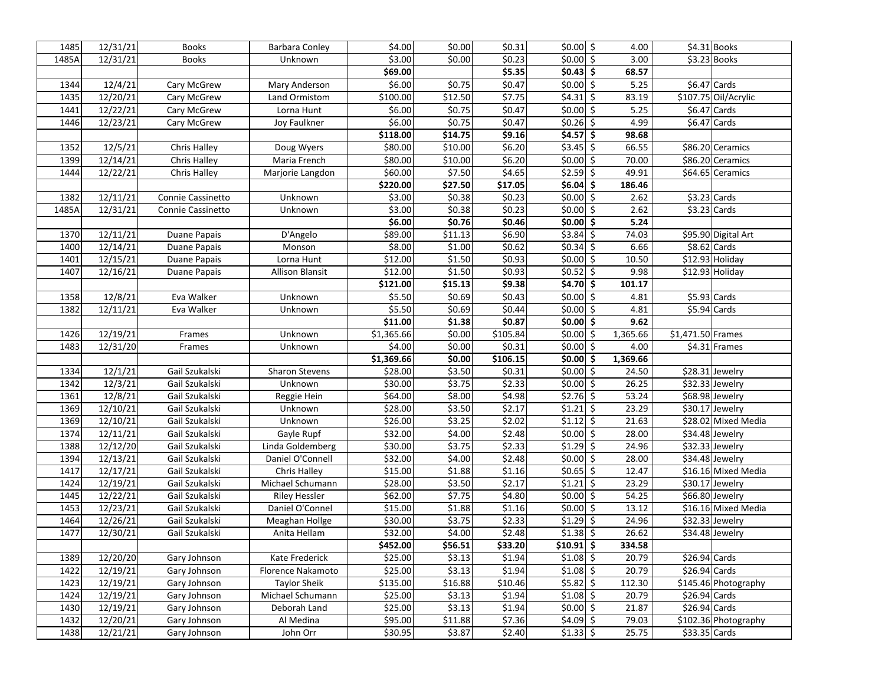| 1485         | 12/31/21             | <b>Books</b>                 | Barbara Conley         | \$4.00            | \$0.00            | \$0.31               | $$0.00$ \$               | 4.00           |                   | \$4.31 Books         |
|--------------|----------------------|------------------------------|------------------------|-------------------|-------------------|----------------------|--------------------------|----------------|-------------------|----------------------|
| 1485A        | 12/31/21             | <b>Books</b>                 | Unknown                | \$3.00            | \$0.00            | 50.23                | $$0.00$ \$               | 3.00           |                   | \$3.23 Books         |
|              |                      |                              |                        | \$69.00           |                   | \$5.35               | 50.43                    | 68.57          |                   |                      |
| 1344         | 12/4/21              | Cary McGrew                  | Mary Anderson          | \$6.00            | \$0.75            | \$0.47               | $$0.00$ \$               | 5.25           |                   | $$6.47$ Cards        |
| 1435         | 12/20/21             | Cary McGrew                  | Land Ormistom          | \$100.00          | \$12.50           | \$7.75               | $$4.31$ $$$              | 83.19          |                   | \$107.75 Oil/Acrylic |
| 1441         | 12/22/21             | Cary McGrew                  | Lorna Hunt             | \$6.00            | \$0.75            | \$0.47               | $$0.00$ \$               | 5.25           |                   | $$6.47$ Cards        |
| 1446         | 12/23/21             | Cary McGrew                  | Joy Faulkner           | \$6.00            | \$0.75            | \$0.47               | $$0.26$ \$               | 4.99           |                   | $$6.47$ Cards        |
|              |                      |                              |                        | \$118.00          | \$14.75           | \$9.16               | $$4.57$ \$               | 98.68          |                   |                      |
| 1352         | 12/5/21              | Chris Halley                 | Doug Wyers             | \$80.00           | \$10.00           | \$6.20               | $$3.45$ \$               | 66.55          |                   | \$86.20 Ceramics     |
| 1399         | 12/14/21             | Chris Halley                 | Maria French           | \$80.00           | \$10.00           | \$6.20               | $$0.00$ \$               | 70.00          |                   | \$86.20 Ceramics     |
| 1444         | 12/22/21             | Chris Halley                 | Marjorie Langdon       | \$60.00           | \$7.50            | \$4.65               | $$2.59$ \$               | 49.91          |                   | \$64.65 Ceramics     |
|              |                      |                              |                        | \$220.00          | \$27.50           | \$17.05              | $$6.04$ \$               | 186.46         |                   |                      |
| 1382         | 12/11/21             | Connie Cassinetto            | Unknown                | \$3.00            | \$0.38            | \$0.23               | $$0.00$ \$               | 2.62           |                   | $$3.23$ Cards        |
| 1485A        | 12/31/21             | Connie Cassinetto            | Unknown                | \$3.00            | \$0.38            | \$0.23               | $$0.00$ \$               | 2.62           |                   | $$3.23$ Cards        |
|              |                      |                              |                        | \$6.00            | \$0.76            | \$0.46               | $ 50.00 $ \$             | 5.24           |                   |                      |
| 1370         | 12/11/21             | Duane Papais                 | D'Angelo               | \$89.00           | \$11.13           | \$6.90               | $$3.84$ \$               | 74.03          |                   | \$95.90 Digital Art  |
| 1400         | 12/14/21             | Duane Papais                 | Monson                 | \$8.00            | \$1.00            | \$0.62               | $$0.34$ \$               | 6.66           |                   | $$8.62$ Cards        |
| 1401         | 12/15/21             | Duane Papais                 | Lorna Hunt             | \$12.00           | \$1.50            | \$0.93               | $\vert 50.00 \vert 5$    | 10.50          |                   | \$12.93 Holiday      |
| 1407         | 12/16/21             | Duane Papais                 | <b>Allison Blansit</b> | \$12.00           | \$1.50            | \$0.93               | $\frac{1}{50.52}$ \$     | 9.98           |                   | \$12.93 Holiday      |
|              |                      |                              |                        | \$121.00          | \$15.13           | \$9.38               | $$4.70$ \$               | 101.17         |                   |                      |
| 1358         | 12/8/21              | Eva Walker                   | Unknown                | \$5.50            | \$0.69            | \$0.43               | $\vert 50.00 \vert 5$    | 4.81           |                   | $$5.93$ Cards        |
| 1382         | 12/11/21             | Eva Walker                   | Unknown                | \$5.50            | \$0.69            | \$0.44               | $$0.00$ \$               | 4.81           |                   | $$5.94$ Cards        |
|              |                      |                              |                        | \$11.00           | \$1.38            | \$0.87               | $$0.00$ \$               | 9.62           |                   |                      |
| 1426         | 12/19/21             | Frames                       | Unknown                | \$1,365.66        | \$0.00            | $\overline{$}105.84$ | $$0.00$ \$               | 1,365.66       | \$1,471.50 Frames |                      |
| 1483         | 12/31/20             | Frames                       | Unknown                | \$4.00            | \$0.00            | \$0.31               | $$0.00$ \$               | 4.00           |                   | $$4.31$ Frames       |
|              |                      |                              |                        | \$1,369.66        | \$0.00            | \$106.15             | $ 50.00 $ \$             | 1,369.66       |                   |                      |
| 1334         |                      |                              |                        |                   |                   |                      |                          |                |                   |                      |
|              | 12/1/21              | Gail Szukalski               | <b>Sharon Stevens</b>  | \$28.00           | \$3.50            | \$0.31               | $$0.00$ \$               | 24.50          |                   | \$28.31 Jewelry      |
| 1342         | 12/3/21              | Gail Szukalski               | Unknown                | \$30.00           | \$3.75            | \$2.33               | $\vert 50.00 \vert 5$    | 26.25          |                   | \$32.33 Jewelry      |
| 1361         | 12/8/21              | Gail Szukalski               | Reggie Hein            | \$64.00           | \$8.00            | \$4.98               | $$2.76$ \$               | 53.24          |                   | \$68.98 Jewelry      |
| 1369         | 12/10/21             | Gail Szukalski               | Unknown                | \$28.00           | \$3.50            | \$2.17               | $$1.21$ \$               | 23.29          |                   | \$30.17 Jewelry      |
| 1369         | 12/10/21             | Gail Szukalski               | Unknown                | \$26.00           | \$3.25            | \$2.02               | $$1.12$ \$               | 21.63          |                   | \$28.02 Mixed Media  |
| 1374         | 12/11/21             | Gail Szukalski               | Gayle Rupf             | \$32.00           | \$4.00            | \$2.48               | $$0.00$ \$               | 28.00          |                   | \$34.48 Jewelry      |
| 1388         | 12/12/20             | Gail Szukalski               | Linda Goldemberg       | \$30.00           | \$3.75            | \$2.33               | $$1.29$ \$               | 24.96          |                   | \$32.33 Jewelry      |
| 1394         | 12/13/21             | Gail Szukalski               | Daniel O'Connell       | \$32.00           | \$4.00            | \$2.48               | $$0.00$ \$               | 28.00          |                   | \$34.48 Jewelry      |
| 1417         | 12/17/21             | Gail Szukalski               | Chris Halley           | \$15.00           | \$1.88            | \$1.16               | $$0.65$ \$               | 12.47          |                   | \$16.16 Mixed Media  |
| 1424         | 12/19/21             | Gail Szukalski               | Michael Schumann       | \$28.00           | \$3.50            | \$2.17               | $$1.21$ \$               | 23.29          |                   | \$30.17 Jewelry      |
| 1445         | 12/22/21             | Gail Szukalski               | Riley Hessler          | \$62.00           | \$7.75            | \$4.80               | $$0.00$ \$               | 54.25          |                   | \$66.80 Jewelry      |
| 1453         | 12/23/21             | Gail Szukalski               | Daniel O'Connel        | \$15.00           | \$1.88            | 51.16                | $$0.00$ \$               | 13.12          |                   | \$16.16 Mixed Media  |
| 1464         | 12/26/21             | Gail Szukalski               | Meaghan Hollge         | \$30.00           | \$3.75            | \$2.33               | $$1.29$ \$               | 24.96          |                   | \$32.33 Jewelry      |
| 1477         | 12/30/21             | Gail Szukalski               | Anita Hellam           | \$32.00           | \$4.00            | \$2.48               | $$1.38$ \$               | 26.62          |                   | \$34.48 Jewelry      |
|              |                      |                              |                        | \$452.00          | \$56.51           | \$33.20              | $$10.91$ $\sqrt{5}$      | 334.58         |                   |                      |
| 1389         | 12/20/20             | Gary Johnson                 | Kate Frederick         | \$25.00           | \$3.13            | \$1.94               | $$1.08$ \$               | 20.79          | $$26.94$ Cards    |                      |
| 1422         | 12/19/21             | Gary Johnson                 | Florence Nakamoto      | \$25.00           | \$3.13            | \$1.94               | $$1.08$ \$               | 20.79          | $$26.94$ Cards    |                      |
| 1423         | 12/19/21             | Gary Johnson                 | <b>Taylor Sheik</b>    | \$135.00          | \$16.88           | \$10.46              | $$5.82$ \$               | 112.30         |                   | \$145.46 Photography |
| 1424         | 12/19/21             | Gary Johnson                 | Michael Schumann       | \$25.00           | \$3.13            | \$1.94               | $$1.08$ \$               | 20.79          | $$26.94$ Cards    |                      |
| 1430         | 12/19/21             | Gary Johnson                 | Deborah Land           | \$25.00           | \$3.13            | \$1.94               | $$0.00$ \$               | 21.87          | $$26.94$ Cards    |                      |
| 1432<br>1438 | 12/20/21<br>12/21/21 | Gary Johnson<br>Gary Johnson | Al Medina<br>John Orr  | \$95.00<br>530.95 | \$11.88<br>\$3.87 | \$7.36<br>\$2.40     | $$4.09$ \$<br>$$1.33$ \$ | 79.03<br>25.75 | $$33.35$ Cards    | \$102.36 Photography |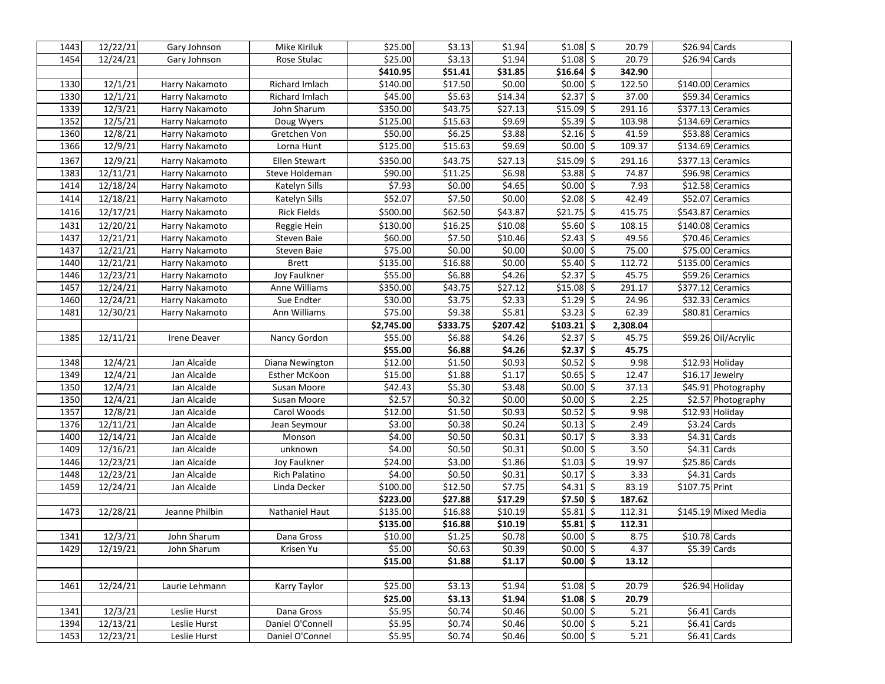| 1443         | 12/22/21             | Gary Johnson                 | Mike Kiriluk                        | \$25.00          | \$3.13             | \$1.94           | $$1.08$ \$                 | 20.79          | \$26.94 Cards  |                                |
|--------------|----------------------|------------------------------|-------------------------------------|------------------|--------------------|------------------|----------------------------|----------------|----------------|--------------------------------|
| 1454         | 12/24/21             | Gary Johnson                 | Rose Stulac                         | \$25.00          | \$3.13             | \$1.94           | $$1.08$ \$                 | 20.79          | $$26.94$ Cards |                                |
|              |                      |                              |                                     | \$410.95         | \$51.41            | \$31.85          | $$16.64$ \$                | 342.90         |                |                                |
| 1330         | 12/1/21              | Harry Nakamoto               | Richard Imlach                      | \$140.00         | \$17.50            | \$0.00           | $$0.00$ \$                 | 122.50         |                | \$140.00 Ceramics              |
| 1330         | 12/1/21              | Harry Nakamoto               | Richard Imlach                      | \$45.00          | \$5.63             | \$14.34          | $$2.37$ \$                 | 37.00          |                | \$59.34 Ceramics               |
| 1339         | 12/3/21              | Harry Nakamoto               | John Sharum                         | \$350.00         | \$43.75            | \$27.13          | $$15.09$ \$                | 291.16         |                | \$377.13 Ceramics              |
| 1352         | 12/5/21              | Harry Nakamoto               | Doug Wyers                          | \$125.00         | \$15.63            | \$9.69           | $$5.39$ \$                 | 103.98         |                | \$134.69 Ceramics              |
| 1360         | 12/8/21              | Harry Nakamoto               | Gretchen Von                        | \$50.00          | \$6.25             | \$3.88           | $$2.16$ \$                 | 41.59          |                | \$53.88 Ceramics               |
| 1366         | 12/9/21              | Harry Nakamoto               | Lorna Hunt                          | \$125.00         | \$15.63            | 59.69            | $$0.00$ \$                 | 109.37         |                | \$134.69 Ceramics              |
| 1367         | 12/9/21              | Harry Nakamoto               | <b>Ellen Stewart</b>                | \$350.00         | \$43.75            | \$27.13          | $$15.09$ \$                | 291.16         |                | \$377.13 Ceramics              |
| 1383         | 12/11/21             | Harry Nakamoto               | Steve Holdeman                      | \$90.00          | \$11.25            | \$6.98           | $$3.88$ \$                 | 74.87          |                | \$96.98 Ceramics               |
| 1414         | 12/18/24             | Harry Nakamoto               | Katelyn Sills                       | \$7.93           | \$0.00             | \$4.65           | $$0.00$ \$                 | 7.93           |                | \$12.58 Ceramics               |
| 1414         | 12/18/21             | Harry Nakamoto               | Katelyn Sills                       | \$52.07          | \$7.50             | \$0.00           | $$2.08$ \$                 | 42.49          |                | \$52.07 Ceramics               |
| 1416         | 12/17/21             | Harry Nakamoto               | <b>Rick Fields</b>                  | \$500.00         | \$62.50            | \$43.87          | $$21.75$ \$                | 415.75         |                | \$543.87 Ceramics              |
| 1431         | 12/20/21             | Harry Nakamoto               | Reggie Hein                         | \$130.00         | \$16.25            | \$10.08          | $$5.60$ \$                 | 108.15         |                | \$140.08 Ceramics              |
| 1437         | 12/21/21             | Harry Nakamoto               | Steven Baie                         | \$60.00          | \$7.50             | \$10.46          | 52.43                      | 49.56          |                | \$70.46 Ceramics               |
| 1437         | 12/21/21             | Harry Nakamoto               | Steven Baie                         | \$75.00          | \$0.00             | \$0.00           | $$0.00$ \$                 | 75.00          |                | \$75.00 Ceramics               |
| 1440         | 12/21/21             | Harry Nakamoto               | <b>Brett</b>                        | \$135.00         | \$16.88            | \$0.00           | $$5.40$ $$$                | 112.72         |                | \$135.00 Ceramics              |
| 1446         | 12/23/21             | Harry Nakamoto               | Joy Faulkner                        | \$55.00          | \$6.88             | \$4.26           | 52.37                      | 45.75          |                | \$59.26 Ceramics               |
| 1457         | 12/24/21             | Harry Nakamoto               | Anne Williams                       | \$350.00         | \$43.75            | \$27.12          | $$15.08$ \$                | 291.17         |                | \$377.12 Ceramics              |
| 1460         | 12/24/21             | Harry Nakamoto               | Sue Endter                          | \$30.00          | \$3.75             | \$2.33           | $$1.29$ $$$                | 24.96          |                | \$32.33 Ceramics               |
| 1481         | 12/30/21             | Harry Nakamoto               | Ann Williams                        | \$75.00          | \$9.38             | \$5.81           | $$3.23$ \$                 | 62.39          |                | \$80.81 Ceramics               |
|              |                      |                              |                                     | \$2,745.00       | \$333.75           | \$207.42         | \$103.21                   | \$<br>2,308.04 |                |                                |
| 1385         | 12/11/21             | Irene Deaver                 | Nancy Gordon                        | \$55.00          | \$6.88             | \$4.26           | $$2.37$ \$                 | 45.75          |                | \$59.26 Oil/Acrylic            |
|              |                      |                              |                                     |                  |                    |                  |                            |                |                |                                |
|              |                      |                              |                                     | \$55.00          | \$6.88             | \$4.26           | $$2.37$ \$                 | 45.75          |                |                                |
| 1348         | 12/4/21              | Jan Alcalde                  | Diana Newington                     | \$12.00          | \$1.50             | \$0.93           | $ 50.52 $ \$               | 9.98           |                | \$12.93 Holiday                |
| 1349         | 12/4/21              | Jan Alcalde                  | Esther McKoon                       | \$15.00          | \$1.88             | \$1.17           | $$0.65$ \$                 | 12.47          |                | \$16.17 Jewelry                |
| 1350         | 12/4/21              | Jan Alcalde                  | Susan Moore                         | \$42.43          | \$5.30             | \$3.48           | $$0.00$ \$                 | 37.13          |                | \$45.91 Photography            |
| 1350         | 12/4/21              | Jan Alcalde                  | Susan Moore                         | \$2.57           | \$0.32             | \$0.00           | $$0.00$ \$                 | 2.25           |                | \$2.57 Photography             |
| 1357         | 12/8/21              | Jan Alcalde                  | Carol Woods                         | \$12.00          | \$1.50             | \$0.93           | $\vert \xi 0.52 \vert \xi$ | 9.98           |                | \$12.93 Holiday                |
| 1376         | 12/11/21             | Jan Alcalde                  | Jean Seymour                        | \$3.00           | \$0.38             | \$0.24           | $$0.13$ \$                 | 2.49           | $$3.24$ Cards  |                                |
| 1400         | 12/14/21             | Jan Alcalde                  | Monson                              | \$4.00           | \$0.50             | \$0.31           | $$0.17$ \$                 | 3.33           |                | $$4.31$ Cards                  |
| 1409         | 12/16/21             | Jan Alcalde                  | unknown                             | \$4.00           | \$0.50             | \$0.31           | $$0.00$ \$                 | 3.50           |                | $$4.31$ Cards                  |
| 1446         | 12/23/21             | Jan Alcalde                  | Joy Faulkner                        | \$24.00          | \$3.00             | \$1.86           | $$1.03$ \$                 | 19.97          | \$25.86 Cards  |                                |
| 1448         | 12/23/21             | Jan Alcalde                  | Rich Palatino                       | \$4.00           | \$0.50             | \$0.31           | $\sqrt{50.17}$ \$          | 3.33           |                | $$4.31$ Cards                  |
| 1459         | 12/24/21             | Jan Alcalde                  | Linda Decker                        | \$100.00         | \$12.50            | \$7.75           | $$4.31$ \$                 | 83.19          | \$107.75 Print |                                |
|              |                      |                              |                                     | \$223.00         | \$27.88            | \$17.29          | $$7.50$ \$                 | 187.62         |                |                                |
| 1473         | 12/28/21             | Jeanne Philbin               | Nathaniel Haut                      | \$135.00         | \$16.88            | \$10.19          | $$5.81$ $$$                | 112.31         |                | \$145.19 Mixed Media           |
|              |                      |                              |                                     | \$135.00         | \$16.88            | \$10.19          | $$5.81$ \$                 | 112.31         |                |                                |
| 1341         | 12/3/21              | John Sharum                  | Dana Gross                          | \$10.00          | $\overline{$}3.25$ | \$0.78           | $$0.00$ \$                 | 8.75           | $$10.78$ Cards |                                |
| 1429         | 12/19/21             | John Sharum                  | Krisen Yu                           | \$5.00           | \$0.63             | 50.39            | $$0.00$ \$                 | 4.37           | $$5.39$ Cards  |                                |
|              |                      |                              |                                     | \$15.00          | \$1.88             | \$1.17           | $ 50.00 $ \$               | 13.12          |                |                                |
|              |                      |                              |                                     |                  |                    |                  |                            |                |                |                                |
| 1461         | 12/24/21             | Laurie Lehmann               | Karry Taylor                        | \$25.00          | \$3.13             | \$1.94           | $$1.08$ \$                 | 20.79          |                | \$26.94 Holiday                |
|              |                      |                              |                                     | \$25.00          | \$3.13             | \$1.94           | $$1.08$ \$                 | 20.79          |                |                                |
| 1341         | 12/3/21              | Leslie Hurst                 | Dana Gross                          | \$5.95           | \$0.74             | \$0.46           | $$0.00$ \$                 | 5.21           |                | $$6.41$ Cards                  |
| 1394<br>1453 | 12/13/21<br>12/23/21 | Leslie Hurst<br>Leslie Hurst | Daniel O'Connell<br>Daniel O'Connel | \$5.95<br>\$5.95 | \$0.74<br>\$0.74   | \$0.46<br>\$0.46 | $$0.00$ \$<br>$$0.00$ \$   | 5.21<br>5.21   |                | $$6.41$ Cards<br>$$6.41$ Cards |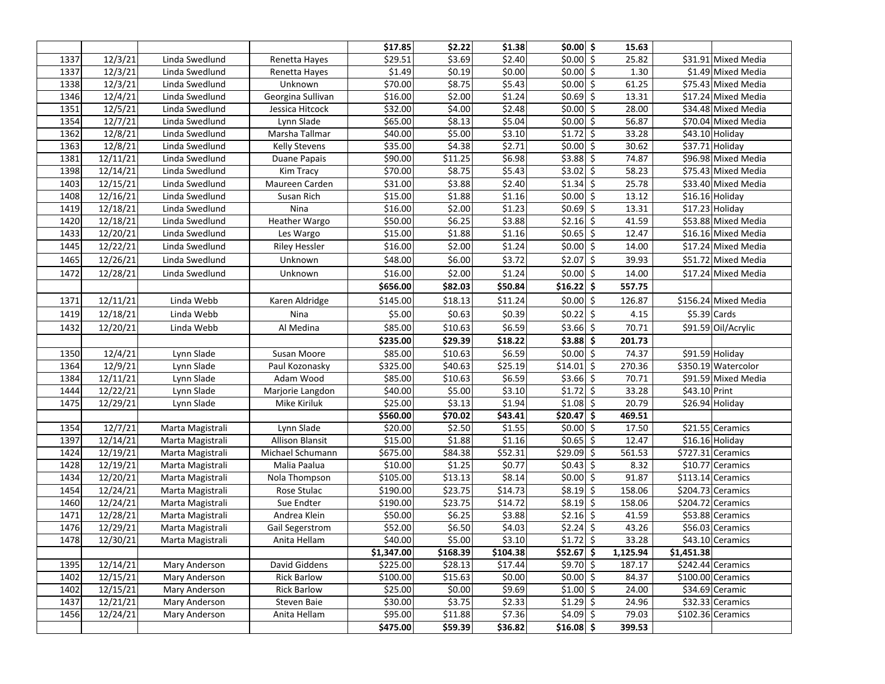|      |          |                  |                        | \$17.85    | \$2.22   | \$1.38   | $$0.00$ \$              | 15.63    |               |                      |
|------|----------|------------------|------------------------|------------|----------|----------|-------------------------|----------|---------------|----------------------|
| 1337 | 12/3/21  | Linda Swedlund   | Renetta Hayes          | \$29.51    | 53.69    | \$2.40   | \$0.0015                | 25.82    |               | \$31.91 Mixed Media  |
| 1337 | 12/3/21  | Linda Swedlund   | Renetta Hayes          | \$1.49     | \$0.19   | \$0.00   | $$0.00$ \$              | 1.30     |               | \$1.49 Mixed Media   |
| 1338 | 12/3/21  | Linda Swedlund   | Unknown                | \$70.00    | \$8.75   | \$5.43   | $$0.00$ \$              | 61.25    |               | \$75.43 Mixed Media  |
| 1346 | 12/4/21  | Linda Swedlund   | Georgina Sullivan      | \$16.00    | \$2.00   | \$1.24   | $$0.69$ \$              | 13.31    |               | \$17.24 Mixed Media  |
| 1351 | 12/5/21  | Linda Swedlund   | Jessica Hitcock        | \$32.00    | \$4.00   | \$2.48   | $$0.00$ \$              | 28.00    |               | \$34.48 Mixed Media  |
| 1354 | 12/7/21  | Linda Swedlund   | Lynn Slade             | \$65.00    | \$8.13   | \$5.04   | $$0.00$ \$              | 56.87    |               | \$70.04 Mixed Media  |
| 1362 | 12/8/21  | Linda Swedlund   | Marsha Tallmar         | \$40.00    | \$5.00   | \$3.10   | $$1.72$ $\overline{5}$  | 33.28    |               | \$43.10 Holiday      |
| 1363 | 12/8/21  | Linda Swedlund   | <b>Kelly Stevens</b>   | \$35.00    | \$4.38   | \$2.71   | $$0.00$ \$              | 30.62    |               | \$37.71 Holiday      |
| 1381 | 12/11/21 | Linda Swedlund   | Duane Papais           | \$90.00    | \$11.25  | \$6.98   | $$3.88$ $\overline{5}$  | 74.87    |               | \$96.98 Mixed Media  |
| 1398 | 12/14/21 | Linda Swedlund   | Kim Tracy              | \$70.00    | \$8.75   | \$5.43   | $$3.02$ \$              | 58.23    |               | \$75.43 Mixed Media  |
| 1403 | 12/15/21 | Linda Swedlund   | Maureen Carden         | \$31.00    | \$3.88   | \$2.40   | $$1.34$ $$$             | 25.78    |               | \$33.40 Mixed Media  |
| 1408 | 12/16/21 | Linda Swedlund   | Susan Rich             | \$15.00    | \$1.88   | \$1.16   | $$0.00$ $\sqrt{5}$      | 13.12    |               | $$16.16$ Holiday     |
| 1419 | 12/18/21 | Linda Swedlund   | Nina                   | \$16.00    | \$2.00   | \$1.23   | $$0.69$ \$              | 13.31    |               | $$17.23$ Holiday     |
| 1420 | 12/18/21 | Linda Swedlund   | Heather Wargo          | \$50.00    | \$6.25   | \$3.88   | $$2.16$ \$              | 41.59    |               | \$53.88 Mixed Media  |
| 1433 | 12/20/21 | Linda Swedlund   | Les Wargo              | \$15.00    | \$1.88   | \$1.16   | $$0.65$ \$              | 12.47    |               | \$16.16 Mixed Media  |
| 1445 | 12/22/21 | Linda Swedlund   | <b>Riley Hessler</b>   | \$16.00    | \$2.00   | \$1.24   | $$0.00$ \$              | 14.00    |               | \$17.24 Mixed Media  |
| 1465 | 12/26/21 | Linda Swedlund   | Unknown                | \$48.00    | \$6.00   | \$3.72   | $$2.07$ \$              | 39.93    |               | \$51.72 Mixed Media  |
| 1472 | 12/28/21 | Linda Swedlund   | Unknown                | \$16.00    | \$2.00   | \$1.24   | $$0.00$ \$              | 14.00    |               | \$17.24 Mixed Media  |
|      |          |                  |                        | \$656.00   | \$82.03  | \$50.84  | $$16.22$ \$             | 557.75   |               |                      |
| 1371 | 12/11/21 | Linda Webb       | Karen Aldridge         | \$145.00   | \$18.13  | \$11.24  | $$0.00$ \$              | 126.87   |               | \$156.24 Mixed Media |
| 1419 | 12/18/21 | Linda Webb       | Nina                   | \$5.00     | \$0.63   | \$0.39   | $$0.22$ \$              | 4.15     |               | $$5.39$ Cards        |
| 1432 | 12/20/21 | Linda Webb       | Al Medina              | \$85.00    | \$10.63  | \$6.59   | $$3.66$ \$              | 70.71    |               | \$91.59 Oil/Acrylic  |
|      |          |                  |                        | \$235.00   | \$29.39  | \$18.22  | $$3.88$ \$              | 201.73   |               |                      |
| 1350 | 12/4/21  | Lynn Slade       | Susan Moore            | \$85.00    | \$10.63  | \$6.59   | $$0.00\sqrt{5}$         | 74.37    |               | \$91.59 Holiday      |
| 1364 | 12/9/21  | Lynn Slade       | Paul Kozonasky         | \$325.00   | \$40.63  | \$25.19  | $$14.01$ \$             | 270.36   |               | \$350.19 Watercolor  |
| 1384 | 12/11/21 | Lynn Slade       | Adam Wood              | \$85.00    | \$10.63  | \$6.59   | $$3.66$ \$              | 70.71    |               | \$91.59 Mixed Media  |
| 1444 | 12/22/21 | Lynn Slade       | Marjorie Langdon       | \$40.00    | \$5.00   | \$3.10   | $$1.72$ $\overline{5}$  | 33.28    | \$43.10 Print |                      |
| 1475 | 12/29/21 | Lynn Slade       | Mike Kiriluk           | \$25.00    | \$3.13   | \$1.94   | $$1.08$ \$              | 20.79    |               | \$26.94 Holiday      |
|      |          |                  |                        | \$560.00   | \$70.02  | \$43.41  | $$20.47$ \$             | 469.51   |               |                      |
| 1354 | 12/7/21  | Marta Magistrali | Lynn Slade             | \$20.00    | \$2.50   | \$1.55   | $$0.00$ \$              | 17.50    |               | \$21.55 Ceramics     |
| 1397 | 12/14/21 | Marta Magistrali | <b>Allison Blansit</b> | \$15.00    | \$1.88   | \$1.16   | $$0.65$ $\sqrt{5}$      | 12.47    |               | \$16.16 Holiday      |
| 1424 | 12/19/21 | Marta Magistrali | Michael Schumann       | \$675.00   | \$84.38  | \$52.31  | $$29.09$ \$             | 561.53   |               | \$727.31 Ceramics    |
| 1428 | 12/19/21 | Marta Magistrali | Malia Paalua           | \$10.00    | \$1.25   | \$0.77   | $$0.43$ $\overline{5}$  | 8.32     |               | \$10.77 Ceramics     |
| 1434 | 12/20/21 | Marta Magistrali | Nola Thompson          | \$105.00   | \$13.13  | \$8.14   | $$0.00\sqrt{5}$         | 91.87    |               | $$113.14$ Ceramics   |
| 1454 | 12/24/21 | Marta Magistrali | Rose Stulac            | \$190.00   | \$23.75  | \$14.73  | $$8.19$ $$$             | 158.06   |               | \$204.73 Ceramics    |
| 1460 | 12/24/21 | Marta Magistrali | Sue Endter             | \$190.00   | \$23.75  | \$14.72  | $$8.19$ $$$             | 158.06   |               | \$204.72 Ceramics    |
| 1471 | 12/28/21 | Marta Magistrali | Andrea Klein           | \$50.00    | \$6.25   | \$3.88   | $$2.16$ $\overline{\$}$ | 41.59    |               | \$53.88 Ceramics     |
| 1476 | 12/29/21 | Marta Magistrali | Gail Segerstrom        | \$52.00    | \$6.50   | \$4.03   | $$2.24$ $\overline{5}$  | 43.26    |               | \$56.03 Ceramics     |
| 1478 | 12/30/21 | Marta Magistrali | Anita Hellam           | \$40.00    | \$5.00   | \$3.10   | $$1.72$ \$              | 33.28    |               | \$43.10 Ceramics     |
|      |          |                  |                        | \$1,347.00 | \$168.39 | \$104.38 | $$52.67$ \$             | 1,125.94 | \$1,451.38    |                      |
| 1395 | 12/14/21 | Mary Anderson    | David Giddens          | \$225.00   | \$28.13  | \$17.44  | $$9.70$ \$              | 187.17   |               | \$242.44 Ceramics    |
| 1402 | 12/15/21 | Mary Anderson    | <b>Rick Barlow</b>     | \$100.00   | \$15.63  | \$0.00   | $$0.00$ \$              | 84.37    |               | \$100.00 Ceramics    |
| 1402 | 12/15/21 | Mary Anderson    | <b>Rick Barlow</b>     | \$25.00    | \$0.00   | \$9.69   | $$1.00$ \$              | 24.00    |               | \$34.69 Ceramic      |
| 1437 | 12/21/21 | Mary Anderson    | Steven Baie            | \$30.00    | \$3.75   | \$2.33   | $$1.29$ $\overline{\$}$ | 24.96    |               | \$32.33 Ceramics     |
| 1456 | 12/24/21 | Mary Anderson    | Anita Hellam           | \$95.00    | \$11.88  | \$7.36   | $$4.09$ \$              | 79.03    |               | \$102.36 Ceramics    |
|      |          |                  |                        | \$475.00   | \$59.39  | \$36.82  | \$16.08\$               | 399.53   |               |                      |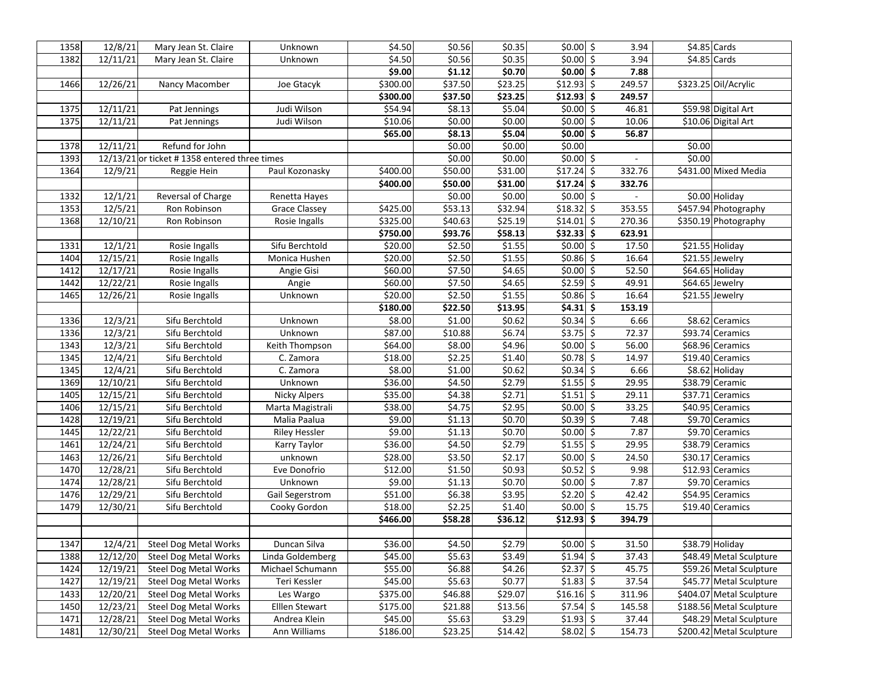| 1358 | 12/8/21  | Mary Jean St. Claire                         | Unknown              | \$4.50   | \$0.56             | \$0.35  | $$0.00$ \$                 | 3.94   |        | $$4.85$ Cards            |
|------|----------|----------------------------------------------|----------------------|----------|--------------------|---------|----------------------------|--------|--------|--------------------------|
| 1382 | 12/11/21 | Mary Jean St. Claire                         | Unknown              | \$4.50   | \$0.56             | \$0.35  | $$0.00$ \$                 | 3.94   |        | $$4.85$ Cards            |
|      |          |                                              |                      | \$9.00   | \$1.12             | \$0.70  | $$0.00$ \$                 | 7.88   |        |                          |
| 1466 | 12/26/21 | Nancy Macomber                               | Joe Gtacyk           | \$300.00 | \$37.50            | \$23.25 | $$12.93$ \$                | 249.57 |        | \$323.25 Oil/Acrylic     |
|      |          |                                              |                      | \$300.00 | \$37.50            | \$23.25 | $$12.93$ \$                | 249.57 |        |                          |
| 1375 | 12/11/21 | Pat Jennings                                 | Judi Wilson          | \$54.94  | \$8.13             | \$5.04  | $$0.00$ \$                 | 46.81  |        | \$59.98 Digital Art      |
| 1375 | 12/11/21 | Pat Jennings                                 | Judi Wilson          | \$10.06  | \$0.00             | \$0.00  | $$0.00$ \$                 | 10.06  |        | \$10.06 Digital Art      |
|      |          |                                              |                      | \$65.00  | 58.13              | \$5.04  | $$0.00 \overline{\$}$      | 56.87  |        |                          |
| 1378 | 12/11/21 | Refund for John                              |                      |          | \$0.00             | \$0.00  | \$0.00                     |        | \$0.00 |                          |
| 1393 |          | 12/13/21 or ticket #1358 entered three times |                      |          | \$0.00             | \$0.00  | $$0.00$ \$                 |        | \$0.00 |                          |
| 1364 | 12/9/21  | Reggie Hein                                  | Paul Kozonasky       | \$400.00 | \$50.00            | \$31.00 | $$17.24$ \$                | 332.76 |        | \$431.00 Mixed Media     |
|      |          |                                              |                      | \$400.00 | \$50.00            | \$31.00 | $$17.24$ \$                | 332.76 |        |                          |
| 1332 | 12/1/21  | Reversal of Charge                           | Renetta Hayes        |          | \$0.00             | \$0.00  | $$0.00$ \$                 |        |        | \$0.00 Holiday           |
| 1353 | 12/5/21  | Ron Robinson                                 | <b>Grace Classey</b> | \$425.00 | \$53.13            | \$32.94 | $$18.32$ \$                | 353.55 |        | \$457.94 Photography     |
| 1368 | 12/10/21 | Ron Robinson                                 | Rosie Ingalls        | \$325.00 | \$40.63            | \$25.19 | $\sqrt{514.01}$ \$         | 270.36 |        | \$350.19 Photography     |
|      |          |                                              |                      | \$750.00 | \$93.76            | \$58.13 | $$32.33$ \$                | 623.91 |        |                          |
| 1331 | 12/1/21  | Rosie Ingalls                                | Sifu Berchtold       | \$20.00  | \$2.50             | \$1.55  | $$0.00$ \$                 | 17.50  |        | \$21.55 Holiday          |
| 1404 | 12/15/21 | Rosie Ingalls                                | Monica Hushen        | \$20.00  | \$2.50             | \$1.55  | $$0.86$ \$                 | 16.64  |        | \$21.55 Jewelry          |
| 1412 | 12/17/21 | Rosie Ingalls                                | Angie Gisi           | \$60.00  | \$7.50             | \$4.65  | $$0.00$ \$                 | 52.50  |        | \$64.65 Holiday          |
| 1442 | 12/22/21 | Rosie Ingalls                                | Angie                | \$60.00  | \$7.50             | \$4.65  | $$2.59$ \$                 | 49.91  |        | \$64.65 Jewelry          |
| 1465 | 12/26/21 | Rosie Ingalls                                | Unknown              | \$20.00  | \$2.50             | \$1.55  | $$0.86$ \$                 | 16.64  |        | \$21.55 Jewelry          |
|      |          |                                              |                      | \$180.00 | \$22.50            | \$13.95 | $\frac{1}{54.31}$ \$       | 153.19 |        |                          |
| 1336 | 12/3/21  | Sifu Berchtold                               | Unknown              | \$8.00   | \$1.00             | \$0.62  | $$0.34$ \$                 | 6.66   |        | \$8.62 Ceramics          |
| 1336 | 12/3/21  | Sifu Berchtold                               | Unknown              | \$87.00  | \$10.88            | \$6.74  | $$3.75$ \$                 | 72.37  |        | \$93.74 Ceramics         |
| 1343 | 12/3/21  | Sifu Berchtold                               | Keith Thompson       | \$64.00  | \$8.00             | \$4.96  | $50.00$ \$                 | 56.00  |        | \$68.96 Ceramics         |
| 1345 | 12/4/21  | Sifu Berchtold                               | C. Zamora            | \$18.00  | \$2.25             | \$1.40  | $$0.78$ \$                 | 14.97  |        | \$19.40 Ceramics         |
| 1345 | 12/4/21  | Sifu Berchtold                               | C. Zamora            | \$8.00   | \$1.00             | \$0.62  | $$0.34$ \$                 | 6.66   |        | \$8.62 Holiday           |
| 1369 | 12/10/21 | Sifu Berchtold                               | Unknown              | \$36.00  | \$4.50             | \$2.79  | $$1.55$ \$                 | 29.95  |        | \$38.79 Ceramic          |
| 1405 | 12/15/21 | Sifu Berchtold                               | <b>Nicky Alpers</b>  | \$35.00  | \$4.38             | \$2.71  | $$1.51$ \$                 | 29.11  |        | \$37.71 Ceramics         |
| 1406 | 12/15/21 | Sifu Berchtold                               | Marta Magistrali     | \$38.00  | \$4.75             | \$2.95  | $$0.00$ \$                 | 33.25  |        | \$40.95 Ceramics         |
| 1428 | 12/19/21 | Sifu Berchtold                               | Malia Paalua         | \$9.00   | \$1.13             | \$0.70  | $\vert \xi 0.39 \vert \xi$ | 7.48   |        | \$9.70 Ceramics          |
| 1445 | 12/22/21 | Sifu Berchtold                               | <b>Riley Hessler</b> | \$9.00   | \$1.13             | \$0.70  | $$0.00$ \$                 | 7.87   |        | \$9.70 Ceramics          |
| 1461 | 12/24/21 | Sifu Berchtold                               | Karry Taylor         | \$36.00  | \$4.50             | \$2.79  | $$1.55$ \$                 | 29.95  |        | \$38.79 Ceramics         |
| 1463 | 12/26/21 | Sifu Berchtold                               | unknown              | \$28.00  | \$3.50             | \$2.17  | $$0.00$ \$                 | 24.50  |        | \$30.17 Ceramics         |
| 1470 | 12/28/21 | Sifu Berchtold                               | Eve Donofrio         | \$12.00  | \$1.50             | \$0.93  | $\frac{1}{50.52}$ \$       | 9.98   |        | \$12.93 Ceramics         |
| 1474 | 12/28/21 | Sifu Berchtold                               | Unknown              | \$9.00   | $\overline{$}1.13$ | \$0.70  | $$0.00$ \$                 | 7.87   |        | \$9.70 Ceramics          |
| 1476 | 12/29/21 | Sifu Berchtold                               | Gail Segerstrom      | \$51.00  | \$6.38             | 53.95   | $$2.20$ \$                 | 42.42  |        | \$54.95 Ceramics         |
| 1479 | 12/30/21 | Sifu Berchtold                               | Cooky Gordon         | \$18.00  | \$2.25             | \$1.40  | $$0.00$ \$                 | 15.75  |        | \$19.40 Ceramics         |
|      |          |                                              |                      | \$466.00 | \$58.28            | \$36.12 | $$12.93$ \$                | 394.79 |        |                          |
|      |          |                                              |                      |          |                    |         |                            |        |        |                          |
| 1347 | 12/4/21  | <b>Steel Dog Metal Works</b>                 | Duncan Silva         | \$36.00  | \$4.50             | \$2.79  | $$0.00$ \$                 | 31.50  |        | \$38.79 Holiday          |
| 1388 | 12/12/20 | <b>Steel Dog Metal Works</b>                 | Linda Goldemberg     | \$45.00  | \$5.63             | \$3.49  | $$1.94$ \$                 | 37.43  |        | \$48.49 Metal Sculpture  |
| 1424 | 12/19/21 | <b>Steel Dog Metal Works</b>                 | Michael Schumann     | \$55.00  | \$6.88             | \$4.26  | $$2.37$ \$                 | 45.75  |        | \$59.26 Metal Sculpture  |
| 1427 | 12/19/21 | <b>Steel Dog Metal Works</b>                 | Teri Kessler         | \$45.00  | \$5.63             | \$0.77  | $$1.83$ \$                 | 37.54  |        | \$45.77 Metal Sculpture  |
| 1433 | 12/20/21 | <b>Steel Dog Metal Works</b>                 | Les Wargo            | \$375.00 | \$46.88            | \$29.07 | $$16.16$ \$                | 311.96 |        | \$404.07 Metal Sculpture |
| 1450 | 12/23/21 | <b>Steel Dog Metal Works</b>                 | Elllen Stewart       | \$175.00 | \$21.88            | \$13.56 | $$7.54$ $\overline{\$}$    | 145.58 |        | \$188.56 Metal Sculpture |
| 1471 | 12/28/21 | <b>Steel Dog Metal Works</b>                 | Andrea Klein         | \$45.00  | \$5.63             | \$3.29  | $$1.93$ $$$                | 37.44  |        | \$48.29 Metal Sculpture  |
| 1481 | 12/30/21 | <b>Steel Dog Metal Works</b>                 | Ann Williams         | \$186.00 | \$23.25            | \$14.42 | $$8.02$ \$                 | 154.73 |        | \$200.42 Metal Sculpture |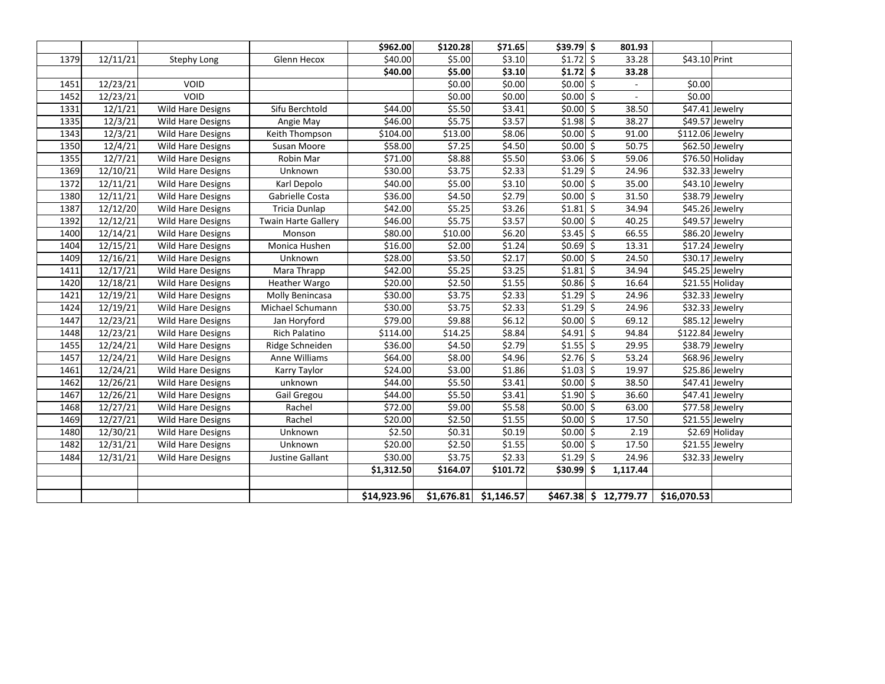|      |          |                          |                            | \$962.00    | \$120.28   | 571.65     | $$39.79$ \$             | 801.93                   |               |                             |
|------|----------|--------------------------|----------------------------|-------------|------------|------------|-------------------------|--------------------------|---------------|-----------------------------|
| 1379 | 12/11/21 | Stephy Long              | Glenn Hecox                | \$40.00     | \$5.00     | \$3.10     | $$1.72$ \$              | 33.28                    | \$43.10 Print |                             |
|      |          |                          |                            | \$40.00     | \$5.00     | \$3.10     | $$1.72$ \$              | 33.28                    |               |                             |
| 1451 | 12/23/21 | <b>VOID</b>              |                            |             | \$0.00     | \$0.00     | $$0.00$ \$              |                          | \$0.00        |                             |
| 1452 | 12/23/21 | VOID                     |                            |             | \$0.00     | \$0.00     | $$0.00$ \$              | $\overline{\phantom{a}}$ | \$0.00        |                             |
| 1331 | 12/1/21  | <b>Wild Hare Designs</b> | Sifu Berchtold             | \$44.00     | \$5.50     | \$3.41     | $$0.00$ \$              | 38.50                    |               | \$47.41 Jewelry             |
| 1335 | 12/3/21  | Wild Hare Designs        | Angie May                  | \$46.00     | \$5.75     | \$3.57     | $$1.98$ \$              | 38.27                    |               | $\overline{$49.57}$ Jewelry |
| 1343 | 12/3/21  | <b>Wild Hare Designs</b> | Keith Thompson             | \$104.00    | \$13.00    | \$8.06     | $$0.00$ \$              | 91.00                    |               | \$112.06 Jewelry            |
| 1350 | 12/4/21  | Wild Hare Designs        | Susan Moore                | \$58.00     | \$7.25     | \$4.50     | $$0.00$ \$              | 50.75                    |               | \$62.50 Jewelry             |
| 1355 | 12/7/21  | <b>Wild Hare Designs</b> | Robin Mar                  | \$71.00     | \$8.88     | \$5.50     | $$3.06$ \$              | 59.06                    |               | \$76.50 Holiday             |
| 1369 | 12/10/21 | Wild Hare Designs        | Unknown                    | \$30.00     | \$3.75     | \$2.33     | $$1.29$ \$              | 24.96                    |               | \$32.33 Jewelry             |
| 1372 | 12/11/21 | Wild Hare Designs        | Karl Depolo                | \$40.00     | \$5.00     | \$3.10     | $$0.00$ \$              | 35.00                    |               | \$43.10 Jewelry             |
| 1380 | 12/11/21 | Wild Hare Designs        | Gabrielle Costa            | \$36.00     | \$4.50     | \$2.79     | $$0.00$ \$              | 31.50                    |               | \$38.79 Jewelry             |
| 1387 | 12/12/20 | <b>Wild Hare Designs</b> | Tricia Dunlap              | \$42.00     | \$5.25     | \$3.26     | $$1.81$ \$              | 34.94                    |               | \$45.26 Jewelry             |
| 1392 | 12/12/21 | <b>Wild Hare Designs</b> | <b>Twain Harte Gallery</b> | \$46.00     | \$5.75     | \$3.57     | $$0.00$ \$              | 40.25                    |               | \$49.57 Jewelry             |
| 1400 | 12/14/21 | Wild Hare Designs        | Monson                     | \$80.00     | \$10.00    | \$6.20     | $$3.45$ \$              | 66.55                    |               | \$86.20 Jewelry             |
| 1404 | 12/15/21 | Wild Hare Designs        | Monica Hushen              | \$16.00     | \$2.00     | \$1.24     | $$0.69$ \$              | 13.31                    |               | \$17.24 Jewelry             |
| 1409 | 12/16/21 | Wild Hare Designs        | Unknown                    | \$28.00     | \$3.50     | \$2.17     | $$0.00$ \$              | 24.50                    |               | \$30.17 Jewelry             |
| 1411 | 12/17/21 | Wild Hare Designs        | Mara Thrapp                | \$42.00     | \$5.25     | \$3.25     | $$1.81$ \$              | 34.94                    |               | \$45.25 Jewelry             |
| 1420 | 12/18/21 | <b>Wild Hare Designs</b> | <b>Heather Wargo</b>       | \$20.00     | \$2.50     | \$1.55     | $$0.86$ \$              | 16.64                    |               | \$21.55 Holiday             |
| 1421 | 12/19/21 | Wild Hare Designs        | Molly Benincasa            | \$30.00     | \$3.75     | \$2.33     | $$1.29$ $\overline{\$}$ | 24.96                    |               | \$32.33 Jewelry             |
| 1424 | 12/19/21 | <b>Wild Hare Designs</b> | Michael Schumann           | \$30.00     | \$3.75     | \$2.33     | $$1.29$ \$              | 24.96                    |               | \$32.33 Jewelry             |
| 1447 | 12/23/21 | Wild Hare Designs        | Jan Horyford               | \$79.00     | \$9.88     | \$6.12     | $$0.00$ \$              | 69.12                    |               | \$85.12 Jewelry             |
| 1448 | 12/23/21 | Wild Hare Designs        | Rich Palatino              | \$114.00    | \$14.25    | \$8.84     | $$4.91$ $$$             | 94.84                    |               | \$122.84 Jewelry            |
| 1455 | 12/24/21 | Wild Hare Designs        | Ridge Schneiden            | \$36.00     | \$4.50     | \$2.79     | $$1.55$ \$              | 29.95                    |               | \$38.79 Jewelry             |
| 1457 | 12/24/21 | Wild Hare Designs        | Anne Williams              | \$64.00     | \$8.00     | \$4.96     | $$2.76$ \$              | 53.24                    |               | \$68.96 Jewelry             |
| 1461 | 12/24/21 | <b>Wild Hare Designs</b> | Karry Taylor               | \$24.00     | \$3.00     | \$1.86     | $$1.03$ \$              | 19.97                    |               | \$25.86 Jewelry             |
| 1462 | 12/26/21 | Wild Hare Designs        | unknown                    | \$44.00     | \$5.50     | \$3.41     | $$0.00$ \$              | 38.50                    |               | \$47.41 Jewelry             |
| 1467 | 12/26/21 | Wild Hare Designs        | Gail Gregou                | \$44.00     | \$5.50     | \$3.41     | $$1.90$ \$              | 36.60                    |               | \$47.41 Jewelry             |
| 1468 | 12/27/21 | <b>Wild Hare Designs</b> | Rachel                     | \$72.00     | \$9.00     | \$5.58     | $$0.00$ \$              | 63.00                    |               | \$77.58 Jewelry             |
| 1469 | 12/27/21 | Wild Hare Designs        | Rachel                     | \$20.00     | \$2.50     | \$1.55     | $$0.00$ \$              | 17.50                    |               | \$21.55 Jewelry             |
| 1480 | 12/30/21 | <b>Wild Hare Designs</b> | Unknown                    | \$2.50      | \$0.31     | \$0.19     | $\frac{1}{50.00}$ \$    | 2.19                     |               | \$2.69 Holiday              |
| 1482 | 12/31/21 | <b>Wild Hare Designs</b> | Unknown                    | \$20.00     | \$2.50     | \$1.55     | $$0.00$ \$              | 17.50                    |               | \$21.55 Jewelry             |
| 1484 | 12/31/21 | <b>Wild Hare Designs</b> | Justine Gallant            | \$30.00     | \$3.75     | \$2.33     | $$1.29$ \$              | 24.96                    |               | \$32.33 Jewelry             |
|      |          |                          |                            | \$1,312.50  | \$164.07   | \$101.72   | $$30.99$ \$             | 1,117.44                 |               |                             |
|      |          |                          |                            |             |            |            |                         |                          |               |                             |
|      |          |                          |                            | \$14,923.96 | \$1,676.81 | \$1,146.57 |                         | $$467.38$$ \$ 12,779.77  | \$16,070.53   |                             |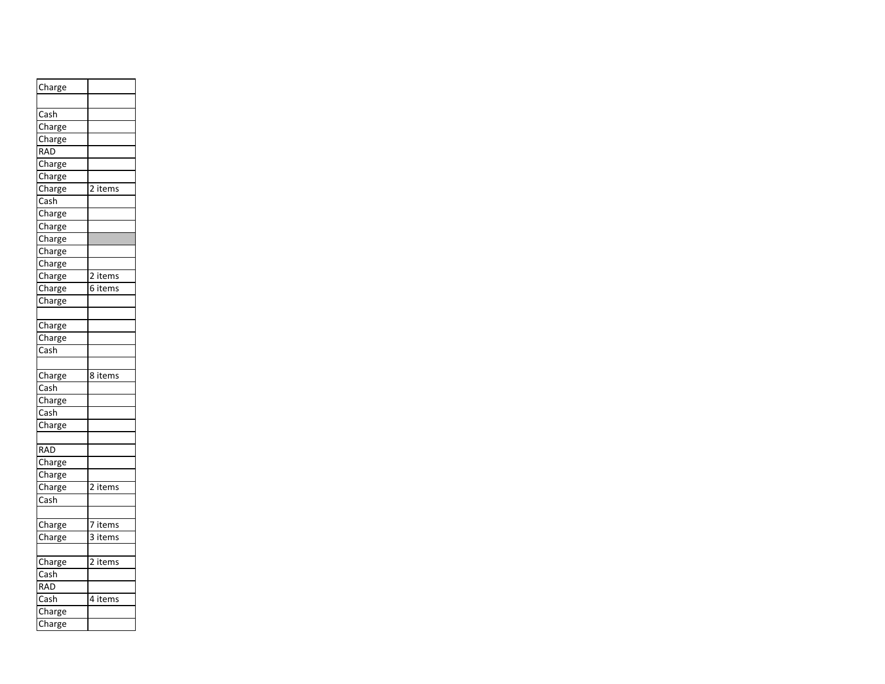| Charge                     |         |
|----------------------------|---------|
|                            |         |
| Cash                       |         |
| Charge                     |         |
| Charge                     |         |
| <b>RAD</b>                 |         |
| Charge                     |         |
| Charge                     |         |
| Charge                     | 2 items |
| $\overline{\mathsf{Cash}}$ |         |
| Charge                     |         |
| Charge                     |         |
| Charge                     |         |
| Charge                     |         |
| Charge                     |         |
| Charge                     | 2 items |
| Charge                     | 6 items |
| Charge                     |         |
|                            |         |
| Charge                     |         |
| Charge                     |         |
|                            |         |
| Cash                       |         |
|                            |         |
| Charge                     | 8 items |
| $\overline{\textsf{Cash}}$ |         |
| Charge                     |         |
| Cash                       |         |
| Charge                     |         |
|                            |         |
| <b>RAD</b>                 |         |
| Charge                     |         |
| Charge                     |         |
| Charge                     | 2 items |
| Cash                       |         |
|                            |         |
| Charge                     | 7 items |
| Charge                     | 3 items |
| Charge                     | 2 items |
| Cash                       |         |
| <b>RAD</b>                 |         |
| $\overline{\text{Cash}}$   | 4 items |
| Charge<br>Charge           |         |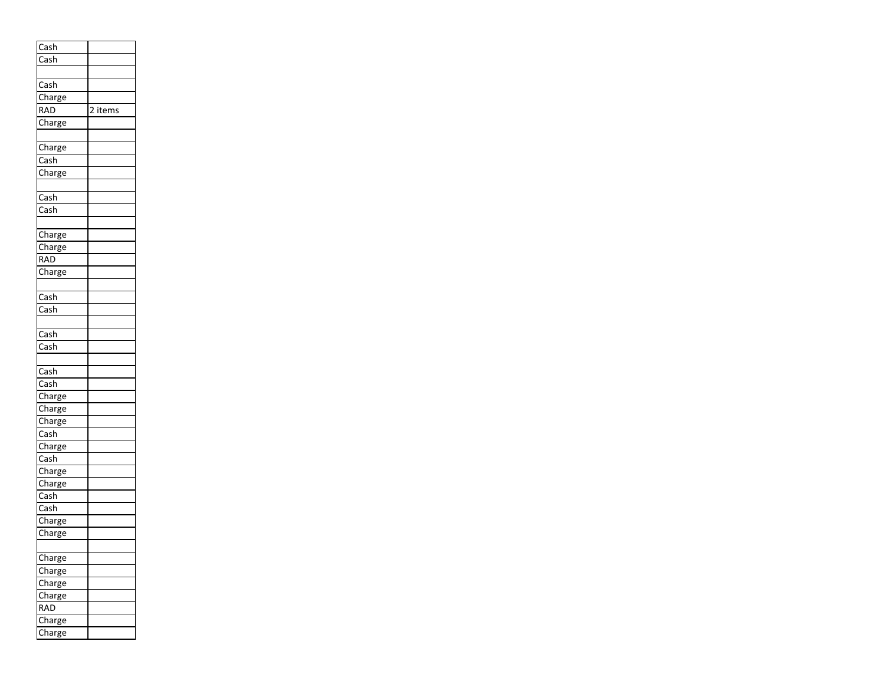| Cash                                |         |
|-------------------------------------|---------|
| $\overline{\mathsf{Cash}}$          |         |
|                                     |         |
|                                     |         |
| Cash<br>Charge                      |         |
|                                     |         |
| RAD                                 | 2 items |
| Charge                              |         |
|                                     |         |
|                                     |         |
| Charge                              |         |
| Cash                                |         |
| Charge                              |         |
|                                     |         |
|                                     |         |
| Cash                                |         |
| $\overline{\mathsf{Cash}}$          |         |
|                                     |         |
|                                     |         |
| Charge                              |         |
| Charge                              |         |
| RAD                                 |         |
| Charge                              |         |
|                                     |         |
|                                     |         |
| Cash                                |         |
| Cash                                |         |
|                                     |         |
| $\overline{\mathsf{Cash}}$          |         |
| $\overline{\mathsf{Cash}}$          |         |
|                                     |         |
|                                     |         |
| Cash                                |         |
| $\overline{\mathsf{Cash}}$          |         |
| Charge                              |         |
| Charge                              |         |
|                                     |         |
| Charge                              |         |
| $\overline{\overline{\text{Cash}}}$ |         |
| Charge                              |         |
| $\overline{\mathsf{Cash}}$          |         |
| Charge                              |         |
|                                     |         |
| Charge                              |         |
| $\overline{\mathsf{Cash}}$          |         |
| Cash                                |         |
| Charge                              |         |
|                                     |         |
| Charge                              |         |
|                                     |         |
| Charge                              |         |
| Charge                              |         |
| Charge                              |         |
|                                     |         |
| Charge                              |         |
| RAD                                 |         |
| —<br>Charge                         |         |
| harge:                              |         |
|                                     |         |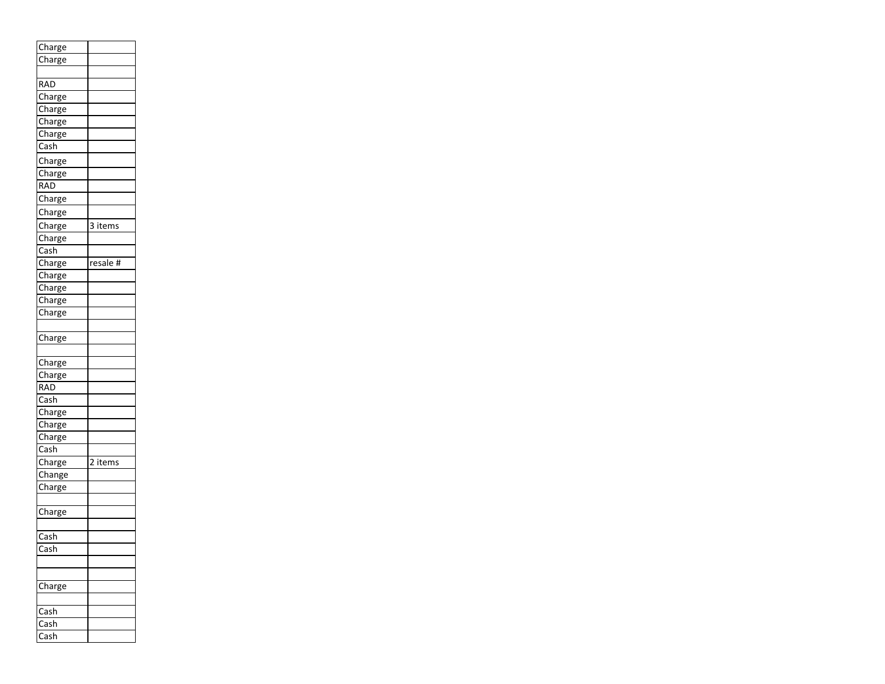| Charge                   |            |
|--------------------------|------------|
| Charge                   |            |
|                          |            |
| RAD                      |            |
| Charge                   |            |
| Charge                   |            |
| Charge                   |            |
| Charge                   |            |
| Cash                     |            |
| Charge                   |            |
| Charge                   |            |
| <b>RAD</b>               |            |
| Charge                   |            |
|                          |            |
| Charge                   |            |
|                          | 3<br>items |
| Charge<br>Charge<br>Cash |            |
|                          |            |
| Charge<br>Charge         | resale #   |
|                          |            |
| Charge                   |            |
| Charge                   |            |
| Charge                   |            |
|                          |            |
| Charge                   |            |
|                          |            |
| Charge                   |            |
| Charge                   |            |
| RAD                      |            |
|                          |            |
| Cash<br>Charge           |            |
| Charge                   |            |
| Charge                   |            |
| $\overline{\text{Cash}}$ |            |
| Charge                   | 2 items    |
| Change                   |            |
| Charge                   |            |
|                          |            |
| Charge                   |            |
|                          |            |
| Cash                     |            |
| Cash                     |            |
|                          |            |
|                          |            |
| harge:                   |            |
|                          |            |
| ash                      |            |
|                          |            |
| ash                      |            |
| ash                      |            |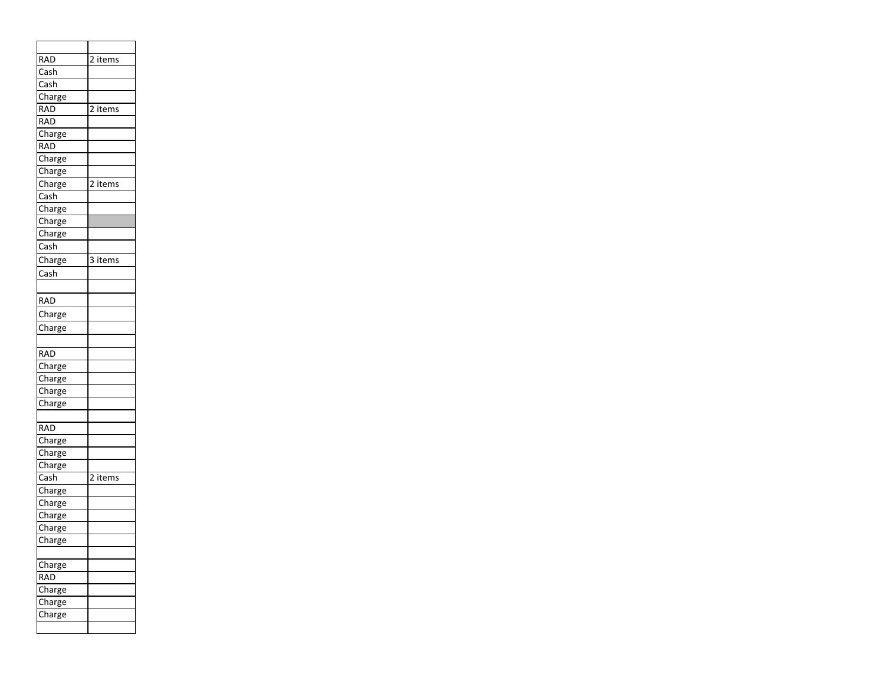| RAD                                | $\overline{2}$ items |
|------------------------------------|----------------------|
| Cash                               |                      |
| Cash                               |                      |
| Charge                             |                      |
| <b>RAD</b>                         | 2 items              |
| <b>RAD</b>                         |                      |
| Charge                             |                      |
| <b>RAD</b>                         |                      |
| Charge                             |                      |
| Charge                             |                      |
| Charge                             | 2 items              |
| Cash                               |                      |
| Charge<br>Charge                   |                      |
|                                    |                      |
| Charge<br>$\overline{\text{Cash}}$ |                      |
|                                    |                      |
| Charge<br>$\overline{\text{Cash}}$ | 3 items              |
|                                    |                      |
|                                    |                      |
| <b>RAD</b>                         |                      |
| Charge                             |                      |
| Charge                             |                      |
|                                    |                      |
| <b>RAD</b>                         |                      |
| Charge                             |                      |
| Charge                             |                      |
| Charge                             |                      |
| Charge                             |                      |
|                                    |                      |
| <b>RAD</b>                         |                      |
| Charge                             |                      |
| Charge                             |                      |
| Charge                             |                      |
| Cash                               | 2 items              |
| Charge                             |                      |
| Charge<br>Charge                   |                      |
|                                    |                      |
| Charge<br>Charge                   |                      |
|                                    |                      |
|                                    |                      |
| harge:<br><b>RAD</b>               |                      |
|                                    |                      |
| Charge                             |                      |
| .<br>Charge                        |                      |
| harge:                             |                      |
|                                    |                      |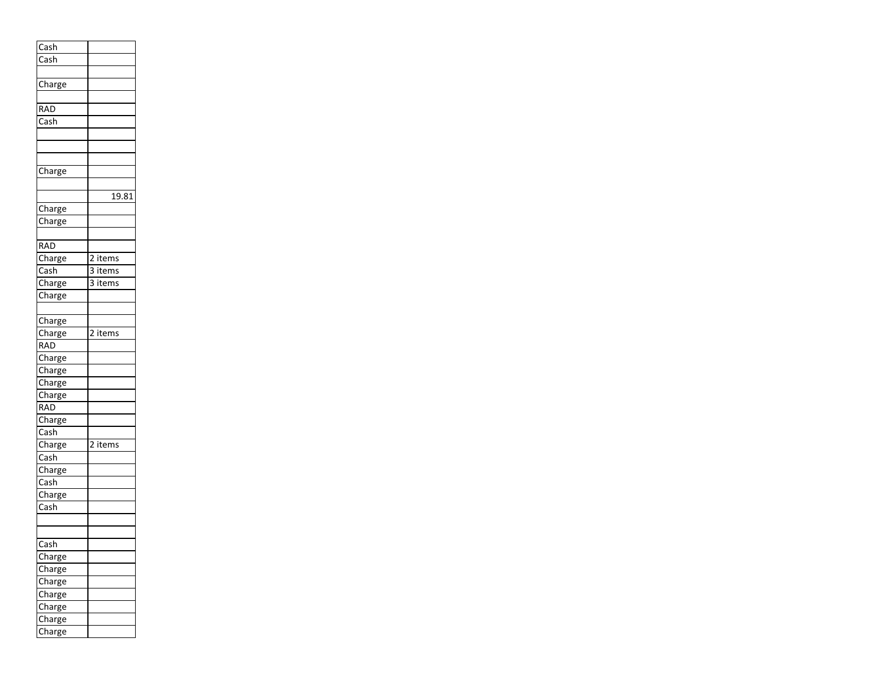| .<br>Cash                  |         |
|----------------------------|---------|
| $\overline{\mathsf{Cash}}$ |         |
|                            |         |
| Charge                     |         |
|                            |         |
| <b>RAD</b>                 |         |
|                            |         |
| $\overline{\mathsf{Cash}}$ |         |
|                            |         |
|                            |         |
|                            |         |
| Charge                     |         |
|                            |         |
|                            | 19.81   |
| Charge                     |         |
| Charge                     |         |
|                            |         |
| RAD                        |         |
| Charge                     | 2 items |
| Cash                       | 3 items |
|                            |         |
| Charge                     | 3 items |
| Charge                     |         |
|                            |         |
| Charge                     |         |
| Charge                     | 2 items |
| $\overline{\text{RAD}}$    |         |
| Charge                     |         |
| Charge                     |         |
| Charge                     |         |
| Charge                     |         |
| <b>RAD</b>                 |         |
|                            |         |
| Charge<br>Cash             |         |
| Charge                     |         |
|                            | 2 items |
| $\overline{\text{Cash}}$   |         |
| Charge                     |         |
| Cash                       |         |
| Charge                     |         |
| $\overline{\mathsf{Cash}}$ |         |
|                            |         |
|                            |         |
| $\overline{\mathsf{Cash}}$ |         |
| Charge                     |         |
| Charge                     |         |
| Charge                     |         |
| Charge                     |         |
|                            |         |
| Charge                     |         |
| Charge                     |         |
| Charge                     |         |